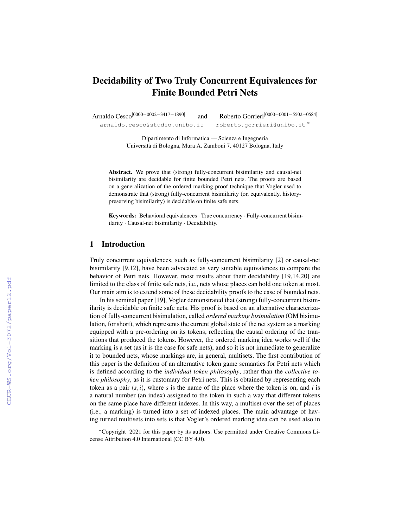# Decidability of Two Truly Concurrent Equivalences for Finite Bounded Petri Nets

Arnaldo Cesco[0000−0002−3417−1890] and Roberto Gorrieri[0000−0001−5502−0584] arnaldo.cesco@studio.unibo.it roberto.gorrieri@unibo.it \*

> Dipartimento di Informatica — Scienza e Ingegneria Universita di Bologna, Mura A. Zamboni 7, 40127 Bologna, Italy `

Abstract. We prove that (strong) fully-concurrent bisimilarity and causal-net bisimilarity are decidable for finite bounded Petri nets. The proofs are based on a generalization of the ordered marking proof technique that Vogler used to demonstrate that (strong) fully-concurrent bisimilarity (or, equivalently, historypreserving bisimilarity) is decidable on finite safe nets.

Keywords: Behavioral equivalences· True concurrency · Fully-concurrent bisimilarity · Causal-net bisimilarity · Decidability.

## 1 Introduction

Truly concurrent equivalences, such as fully-concurrent bisimilarity [\[2\]](#page--1-0) or causal-net bisimilarity [\[9,](#page--1-1)[12\]](#page--1-2), have been advocated as very suitable equivalences to compare the behavior of Petri nets. However, most results about their decidability [\[19](#page--1-3)[,14](#page--1-4)[,20\]](#page--1-5) are limited to the class of finite safe nets, i.e., nets whose places can hold one token at most. Our main aim is to extend some of these decidability proofs to the case of bounded nets.

In his seminal paper [\[19\]](#page--1-3), Vogler demonstrated that (strong) fully-concurrent bisimilarity is decidable on finite safe nets. His proof is based on an alternative characterization of fully-concurrent bisimulation, called *ordered marking bisimulation* (OM bisimulation, for short), which represents the current global state of the net system as a marking equipped with a pre-ordering on its tokens, reflecting the causal ordering of the transitions that produced the tokens. However, the ordered marking idea works well if the marking is a set (as it is the case for safe nets), and so it is not immediate to generalize it to bounded nets, whose markings are, in general, multisets. The first contribution of this paper is the definition of an alternative token game semantics for Petri nets which is defined according to the *individual token philosophy*, rather than the *collective token philosophy*, as it is customary for Petri nets. This is obtained by representing each token as a pair  $(s, i)$ , where *s* is the name of the place where the token is on, and *i* is a natural number (an index) assigned to the token in such a way that different tokens on the same place have different indexes. In this way, a multiset over the set of places (i.e., a marking) is turned into a set of indexed places. The main advantage of having turned multisets into sets is that Vogler's ordered marking idea can be used also in

<sup>∗</sup>Copyright 2021 for this paper by its authors. Use permitted under Creative Commons License Attribution 4.0 International (CC BY 4.0).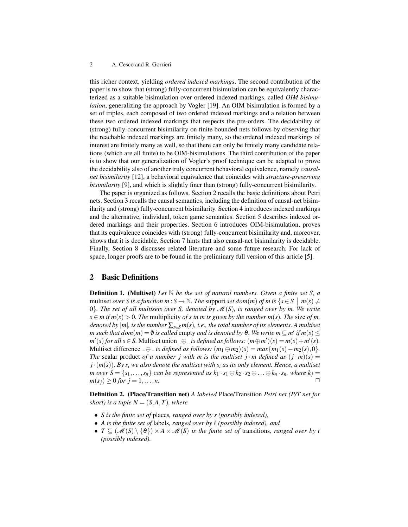this richer context, yielding *ordered indexed markings*. The second contribution of the paper is to show that (strong) fully-concurrent bisimulation can be equivalently characterized as a suitable bisimulation over ordered indexed markings, called *OIM bisimulation*, generalizing the approach by Vogler [\[19\]](#page-14-0). An OIM bisimulation is formed by a set of triples, each composed of two ordered indexed markings and a relation between these two ordered indexed markings that respects the pre-orders. The decidability of (strong) fully-concurrent bisimilarity on finite bounded nets follows by observing that the reachable indexed markings are finitely many, so the ordered indexed markings of interest are finitely many as well, so that there can only be finitely many candidate relations (which are all finite) to be OIM-bisimulations. The third contribution of the paper is to show that our generalization of Vogler's proof technique can be adapted to prove the decidability also of another truly concurrent behavioral equivalence, namely *causalnet bisimilarity* [\[12\]](#page-14-1), a behavioral equivalence that coincides with *structure-preserving bisimilarity* [\[9\]](#page-14-2), and which is slightly finer than (strong) fully-concurrent bisimilarity.

The paper is organized as follows. Section [2](#page-1-0) recalls the basic definitions about Petri nets. Section [3](#page-3-0) recalls the causal semantics, including the definition of causal-net bisimilarity and (strong) fully-concurrent bisimilarity. Section [4](#page-5-0) introduces indexed markings and the alternative, individual, token game semantics. Section [5](#page-7-0) describes indexed ordered markings and their properties. Section [6](#page-11-0) introduces OIM-bisimulation, proves that its equivalence coincides with (strong) fully-concurrent bisimilarity and, moreover, shows that it is decidable. Section [7](#page-12-0) hints that also causal-net bisimilarity is decidable. Finally, Section [8](#page-13-0) discusses related literature and some future research. For lack of space, longer proofs are to be found in the preliminary full version of this article [\[5\]](#page-14-3).

## <span id="page-1-0"></span>2 Basic Definitions

Definition 1. (Multiset) *Let* N *be the set of natural numbers. Given a finite set S, a* multiset *over S* is a function  $m : S \to \mathbb{N}$ . The support set  $dom(m)$  of  $m$  is  $\{s \in S \mid m(s) \neq \emptyset\}$ 0}*. The set of all multisets over S, denoted by* M(*S*)*, is ranged over by m. We write s* ∈ *m if m*(*s*) > 0*. The* multiplicity *of s in m is given by the number m*(*s*)*. The* size *of m*, *denoted by*  $|m|$ *, is the number*  $\sum_{s \in S} m(s)$ *, i.e., the total number of its elements. A multiset m* such that  $dom(m) = \emptyset$  is called empty and is denoted by  $\theta$ . We write  $m \subseteq m'$  if  $m(s) \leq$  $m'(s)$  *for all s*  $\in$  *S*. Multiset union  $\pm \oplus \pm$  *is defined as follows:*  $(m \oplus m')(s) = m(s) + m'(s)$ . Multiset difference  $\angle$   $\ominus$   $\angle$  *is defined as follows:*  $(m_1 \ominus m_2)(s) = max\{m_1(s) - m_2(s), 0\}$ . *The* scalar product *of a number j* with *m* is the multiset *j*  $\cdot$  *m* defined as  $(j \cdot m)(s)$  =  $j \cdot (m(s))$ *. By s<sub>i</sub> we also denote the multiset with s<sub>i</sub> <i>as its only element. Hence, a multiset m over*  $S = \{s_1, \ldots, s_n\}$  *can be represented as*  $k_1 \cdot s_1 \oplus k_2 \cdot s_2 \oplus \ldots \oplus k_n \cdot s_n$ *, where*  $k_j =$  $m(s_i) \geq 0$  *for*  $j = 1, ..., n$ .

Definition 2. (Place/Transition net) *A labeled* Place/Transition *Petri net (P/T net for short) is a tuple*  $N = (S, A, T)$ *, where* 

- *S is the finite set of* places*, ranged over by s (possibly indexed),*
- A is the finite set of labels, ranged over by  $\ell$  (possibly indexed), and
- $T \subseteq (\mathcal{M}(S) \setminus \{\theta\}) \times A \times \mathcal{M}(S)$  *is the finite set of transitions, ranged over by t (possibly indexed).*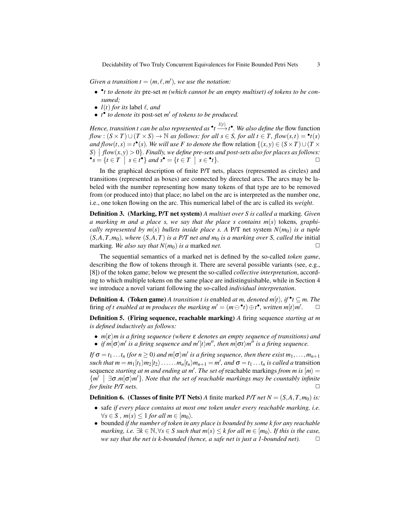*Given a transition*  $t = (m, \ell, m')$ *, we use the notation:* 

- • *t to denote its* pre-set *m (which cannot be an empty multiset) of tokens to be consumed;*
- $l(t)$  *for its* label  $l$ *, and*
- *t*<sup>•</sup> *to denote its* post-set *m' of tokens to be produced.*

*Hence, transition t can be also represented as*  $\cdot t \xrightarrow{l(t)} \iota$  *Ne also define the flow function flow* :  $(S \times T) \cup (T \times S) \rightarrow \mathbb{N}$  *as follows: for all s* ∈ *S, for all t* ∈ *T, flow*(*s,t*) =  $\bullet$ *t*(*s*) *and flow*(*t*,*s*) = *t*<sup>•</sup>(*s*)*. We will use F to denote the flow relation* {(*x*, *y*) ∈ (*S* × *T*)∪(*T* ×  $S \mid flow(x, y) > 0$ . Finally, we define pre-sets and post-sets also for places as follows:  $\bullet s = \{ t \in T \mid s \in t^{\bullet} \} \text{ and } s^{\bullet} = \{ t \in T \mid s \in \bullet \}$  $t$ }.

In the graphical description of finite P/T nets, places (represented as circles) and transitions (represented as boxes) are connected by directed arcs. The arcs may be labeled with the number representing how many tokens of that type are to be removed from (or produced into) that place; no label on the arc is interpreted as the number one, i.e., one token flowing on the arc. This numerical label of the arc is called its *weight*.

Definition 3. (Marking, P/T net system) *A multiset over S is called a* marking*. Given a marking m and a place s, we say that the place s contains m*(*s*) tokens*, graphically represented by m(s) bullets inside place s. A P/T net system*  $N(m_0)$  *is a tuple*  $(S, A, T, m_0)$ *, where*  $(S, A, T)$  *is a P/T net and m<sub>0</sub> <i>is a marking over S, called the initial* marking. We also say that  $N(m_0)$  is a marked *net*.

The sequential semantics of a marked net is defined by the so-called *token game*, describing the flow of tokens through it. There are several possible variants (see, e.g., [\[8\]](#page-14-4)) of the token game; below we present the so-called *collective interpretation*, according to which multiple tokens on the same place are indistinguishable, while in Section [4](#page-5-0) we introduce a novel variant following the so-called *individual interpretation*.

**Definition 4.** (Token game) *A transition t is* enabled *at m, denoted m[t], if*  $\cdot$   $f \subseteq m$ . The firing *of t enabled at m produces the marking*  $m' = (m \ominus \cdot t) \oplus t^{\bullet}$ *, written*  $m[t\rangle m'$ . □

Definition 5. (Firing sequence, reachable marking) *A* firing sequence *starting at m is defined inductively as follows:*

- $m\epsilon/m$  *is a firing sequence (where*  $\epsilon$  *denotes an empty sequence of transitions) and*
- *if*  $m[\sigma\rangle m'$  is a firing sequence and  $m'[t\rangle m''$ , then  $m[\sigma t\rangle m''$  is a firing sequence.

*If*  $\sigma = t_1 \dots t_n$  (for  $n \ge 0$ ) and  $m[\sigma\rangle m'$  is a firing sequence, then there exist  $m_1, \dots, m_{n+1}$ *such that*  $m = m_1[t_1/m_2[t_2)\ldots \ldots m_n[t_n/m_{n+1} = m'$ *, and*  $\sigma = t_1 \ldots t_n$  *is called a* transition sequence *starting at m and ending at m'*. The set of reachable markings *from m is*  $[m] =$ {*m'*  $\exists$  *σ.m*[**σ***)m'*}*. Note that the set of reachable markings may be countably infinite for finite P/T nets.*  $□$ 

**Definition 6.** (Classes of finite P/T Nets) *A* finite marked *P/T net N* =  $(S, A, T, m_0)$  *is:* 

- safe *if every place contains at most one token under every reachable marking, i.e.*  $\forall s \in S$ ,  $m(s) \leq 1$  *for all*  $m \in [m_0)$ .
- bounded *if the number of token in any place is bounded by some k for any reachable marking, i.e.*  $\exists k \in \mathbb{N}, \forall s \in S$  *such that*  $m(s) \leq k$  *for all*  $m \in [m_0)$ *. If this is the case, we say that the net is k-bounded (hence, a safe net is just a 1-bounded net).*  $\Box$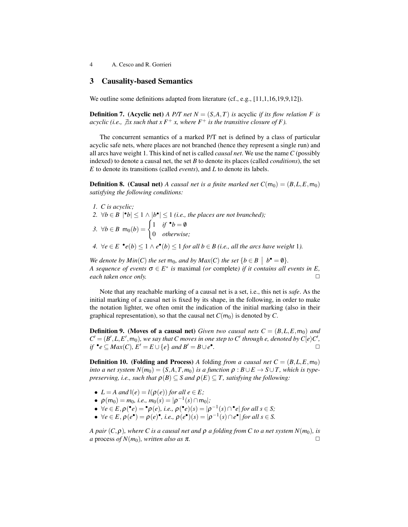## <span id="page-3-0"></span>3 Causality-based Semantics

We outline some definitions adapted from literature (cf., e.g., [\[11](#page-14-5)[,1](#page-14-6)[,16](#page-14-7)[,19](#page-14-0)[,9](#page-14-2)[,12\]](#page-14-1)).

**Definition 7.** (Acyclic net) *A P/T net N* =  $(S, A, T)$  *is* acyclic *if its flow relation F is acyclic (i.e.,*  $\exists x$  *such that*  $xF^+x$ *, where*  $F^+$  *is the transitive closure of* F).

The concurrent semantics of a marked P/T net is defined by a class of particular acyclic safe nets, where places are not branched (hence they represent a single run) and all arcs have weight 1. This kind of net is called *causal net*. We use the name*C* (possibly indexed) to denote a causal net, the set *B* to denote its places (called *conditions*), the set *E* to denote its transitions (called *events*), and *L* to denote its labels.

**Definition 8.** (Causal net) *A causal net is a finite marked net*  $C(m_0) = (B, L, E, m_0)$ *satisfying the following conditions:*

- *1. C is acyclic;*
- 2.  $\forall b \in B \mid b \leq 1 \land |b \bullet| \leq 1$  (*i.e., the places are not branched*);
- *3.* ∀*b* ∈ *B* m<sub>0</sub>(*b*) =  $\begin{cases} 1 & \text{if } \bullet b = \emptyset \\ 0 & \text{if } 0 \end{cases}$ 0 *otherwise;*
- *4.* ∀ $e \in E$   $\bullet$   $e(b) \leq 1 \land e^{\bullet}(b) \leq 1$  *for all b* ∈ *B* (*i.e., all the arcs have weight* 1*).*

*We denote by*  $Min(C)$  *the set*  $m_0$ *, and by*  $Max(C)$  *the set*  $\{b \in B \mid b^{\bullet} = \emptyset\}$ *. A* sequence of events  $\sigma \in E^*$  is maximal (or complete) if it contains all events in E, *each taken once only.*  $□$ 

Note that any reachable marking of a causal net is a set, i.e., this net is *safe*. As the initial marking of a causal net is fixed by its shape, in the following, in order to make the notation lighter, we often omit the indication of the initial marking (also in their graphical representation), so that the causal net  $C(m_0)$  is denoted by  $C$ .

**Definition 9.** (Moves of a causal net) *Given two causal nets*  $C = (B, L, E, m_0)$  *and*  $C' = (B', L, E', m_0)$ *, we say that C moves in one step to C' through e, denoted by*  $C[e \rangle C'$ *, if*  $\bullet$ *e* ⊆ *Max*(*C*)*, E*<sup> $\prime$ </sup> = *E* ∪ {*e*} *and B*<sup> $\prime$ </sup> = *B* ∪ *e* $\bullet$ *.* ✷

**Definition 10.** (Folding and Process) A folding *from a causal net*  $C = (B, L, E, m_0)$ *into a net system*  $N(m_0) = (S, A, T, m_0)$  *is a function*  $\rho : B \cup E \rightarrow S \cup T$ *, which is typepreserving, i.e., such that*  $\rho(B) \subseteq S$  *and*  $\rho(E) \subseteq T$ *, satisfying the following:* 

- $L = A$  and  $I(e) = I(\rho(e))$  for all  $e \in E$ ;
- $\rho(m_0) = m_0$ , *i.e.*,  $m_0(s) = |\rho^{-1}(s) \cap m_0|$ ;
- $\forall e \in E, \rho(\bullet e) = \bullet \rho(e), \text{ i.e., } \rho(\bullet e)(s) = |\rho^{-1}(s) \cap \bullet e| \text{ for all } s \in S;$
- $\forall e \in E, \rho(e^{\bullet}) = \rho(e)^{\bullet}, i.e., \rho(e^{\bullet})(s) = |\rho^{-1}(s) \cap e^{\bullet}|$  for all  $s \in S$ .

*A pair*  $(C, \rho)$ *, where C is a causal net and*  $\rho$  *a folding from C to a net system*  $N(m_0)$ *, is a* process *of N*( $m_0$ )*, written also as*  $\pi$ .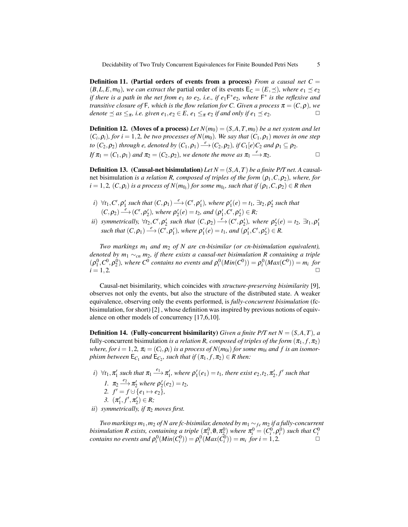**Definition 11.** (Partial orders of events from a process) *From a causal net*  $C =$  $(B, L, E, m_0)$ *, we can extract the partial order of its events*  $E_C = (E, \preceq)$ *, where e*<sub>1</sub>  $\preceq e_2$ *if there is a path in the net from e*<sub>1</sub> *to e*<sub>2</sub>*, i.e., if e*<sub>1</sub> $F*e_2$ *, where*  $F*$  *is the reflexive and transitive closure of* F, which is the flow relation for C. Given a process  $\pi = (C, \rho)$ , we *denote*  $\leq$  *as*  $\leq_{\pi}$ *, i.e. given e*<sub>1</sub>*, e*<sub>2</sub>  $\in$  *E, e*<sub>1</sub>  $\leq$ <sub> $\pi$ </sub> *e*<sub>2</sub> *if and only if e*<sub>1</sub>  $\leq$  *e*<sub>2</sub>*.*  $\Box$ 

**Definition 12.** (Moves of a process) Let  $N(m_0) = (S, A, T, m_0)$  be a net system and let  $(C_i, \rho_i)$ , for  $i = 1, 2$ , be two processes of  $N(m_0)$ . We say that  $(C_1, \rho_1)$  moves in one step *to*  $(C_2, \rho_2)$  *through e, denoted by*  $(C_1, \rho_1) \stackrel{e}{\longrightarrow} (C_2, \rho_2)$ *, if*  $C_1[e \rangle C_2$  *and*  $\rho_1 \subseteq \rho_2$ *. If*  $\pi_1 = (C_1, \rho_1)$  *and*  $\pi_2 = (C_2, \rho_2)$ *, we denote the move as*  $\pi_1 \stackrel{e}{\longrightarrow} \pi_2$ *.* 

**Definition 13.** (Causal-net bisimulation) Let  $N = (S, A, T)$  be a finite P/T net. A causalnet bisimulation *is a relation R, composed of triples of the form* (ρ1,*C*,ρ2)*, where, for*  $i = 1, 2, (C, \rho_i)$  is a process of  $N(m_{0_i})$  for some  $m_{0_i}$ , such that if  $(\rho_1, C, \rho_2) \in R$  then

- *i*)  $\forall t_1, C', \rho'_1$  such that  $(C, \rho_1) \stackrel{e}{\longrightarrow} (C', \rho'_1)$ , where  $\rho'_1(e) = t_1$ ,  $\exists t_2, \rho'_2$  such that  $(C, \rho_2) \stackrel{e}{\longrightarrow} (C', \rho_2'),$  where  $\rho_2'(e) = t_2$ , and  $(\rho_1', C', \rho_2') \in R$ ;
- *ii*) *symmetrically,*  $\forall t_2, C', \rho'_2$  *such that*  $(C, \rho_2) \stackrel{e}{\longrightarrow} (C', \rho'_2)$ *, where*  $\rho'_2(e) = t_2$ ,  $\exists t_1, \rho'_1$  $\mathcal{L}$  such that  $(C, \rho_1) \stackrel{e}{\longrightarrow} (C', \rho_1')$ , where  $\rho_1'(e) = t_1$ , and  $(\rho_1', C', \rho_2') \in R$ .

*Two markings m*<sup>1</sup> *and m*<sup>2</sup> *of N are cn-bisimilar (or cn-bisimulation equivalent), denoted by m*<sup>1</sup> ∼*cn m*2*, if there exists a causal-net bisimulation R containing a triple*  $(\rho_1^0, C^0, \rho_2^0)$ , where  $C^0$  contains no events and  $\rho_i^0(\text{Min}(C^0)) = \rho_i^0(\text{Max}(C^0)) = m_i$  for  $i = 1, 2.$ 

Causal-net bisimilarity, which coincides with *structure-preserving bisimilarity* [\[9\]](#page-14-2), observes not only the events, but also the structure of the distributed state. A weaker equivalence, observing only the events performed, is *fully-concurrent bisimulation* (fcbisimulation, for short) [\[2\]](#page-14-8) , whose definition was inspired by previous notions of equivalence on other models of concurrency [\[17,](#page-14-9)[6,](#page-14-10)[10\]](#page-14-11).

**Definition 14.** (Fully-concurrent bisimilarity) *Given a finite P/T net*  $N = (S, A, T)$ *, a* fully-concurrent bisimulation *is a relation R, composed of triples of the form*  $(\pi_1, f, \pi_2)$ *where, for i* = 1,2,  $\pi$ <sub>*i*</sub> = ( $C$ *i*, $\rho$ *i*) *is a process of*  $N(m_{0i})$  *for some m*<sub>0*i*</sub> and *f is an isomorphism between*  $\mathsf{E}_{C_1}$  *and*  $\mathsf{E}_{C_2}$ *, such that if*  $(\pi_1, f, \pi_2) \in R$  *then:* 

*i*)  $\forall t_1, \pi'_1$  such that  $\pi_1 \stackrel{e_1}{\longrightarrow} \pi'_1$ , where  $\rho'_1(e_1) = t_1$ , there exist  $e_2, t_2, \pi'_2, f'$  such that *1.*  $\pi_2 \stackrel{e_2}{\longrightarrow} \pi'_2$  where  $\rho'_2(e_2) = t_2$ , 2.  $f' = f \cup \{e_1 \mapsto e_2\}$ , *3.*  $(\pi'_1, f', \pi'_2) \in R;$ *ii*) *symmetrically, if*  $\pi_2$  *moves first.* 

*Two markings m*<sub>1</sub>*, m*<sub>2</sub> *of N are fc-bisimilar, denoted by m*<sub>1</sub>  $\sim$  *f<sub>c</sub> m*<sub>2</sub> *if a fully-concurrent* bisimulation R exists, containing a triple  $(\pi_1^0, \emptyset, \pi_2^0)$  where  $\pi_i^0 = (C_i^0, \rho_i^0)$  such that  $C_i^0$  contains no events and  $\rho_i^0(Min(C_i^0)) = \rho_i^0(Max(C_i^0)) = m_i$  for  $i = 1, 2$ .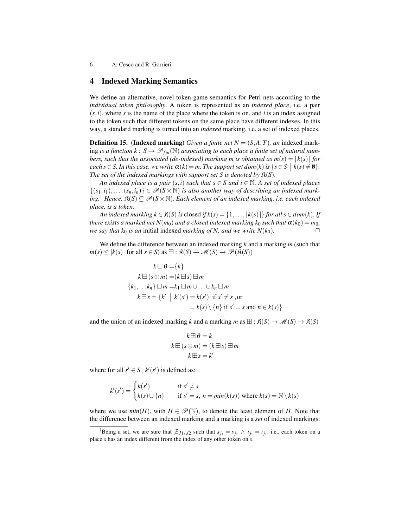## <span id="page-5-0"></span>4 Indexed Marking Semantics

We define an alternative, novel token game semantics for Petri nets according to the *individual token philosophy*. A token is represented as an *indexed place*, i.e. a pair  $(s, i)$ , where *s* is the name of the place where the token is on, and *i* is an index assigned to the token such that different tokens on the same place have different indexes. In this way, a standard marking is turned into an *indexed* marking, i.e. a set of indexed places.

**Definition 15.** (Indexed marking) *Given a finite net*  $N = (S, A, T)$ *, an* indexed marking *is a function*  $k: S \to \mathscr{P}_{fin}(\mathbb{N})$  *associating to each place a finite set of natural numbers, such that the associated (de-indexed) marking m is obtained as*  $m(s) = |k(s)|$  *for each*  $s \in S$ *. In this case, we write*  $\alpha(k) = m$ *. The support set dom* $(k)$  *is*  $\{s \in S \mid k(s) \neq \emptyset\}$ *. The set of the indexed markings with support set S is denoted by*  $\mathfrak{K}(S)$ *.* 

*An indexed place is a pair*  $(s, i)$  *such that*  $s \in S$  *and*  $i \in \mathbb{N}$ *. A set of indexed places*  $\{(s_1,i_1),\ldots,(s_n,i_n)\}\in \mathscr{P}(S\times\mathbb{N})$  is also another way of describing an indexed mark*ing.*<sup>[1](#page-5-1)</sup> *Hence,*  $\Re(S)$  ⊆  $\mathscr{P}(S \times \mathbb{N})$ *. Each element of an indexed marking, i.e. each indexed place, is a token.*

*An indexed marking*  $k \in \mathfrak{K}(S)$  *is* closed *if*  $k(s) = \{1, \ldots, |k(s)|\}$  *for all*  $s \in dom(k)$ *. If there exists a marked net*  $N(m_0)$  *and a closed indexed marking k*<sub>0</sub> *such that*  $\alpha(k_0) = m_0$ *, we say that k*<sup>0</sup> *is an* initial indexed *marking of N, and we write*  $N(k_0)$ *.*  $\Box$ 

We define the difference between an indexed marking *k* and a marking *m* (such that  $m(s) \leq |k(s)|$  for all  $s \in S$ ) as  $\exists : \mathfrak{K}(S) \to \mathcal{M}(S) \to \mathcal{P}(\mathfrak{K}(S))$ 

$$
k \boxminus \theta = \{k\}
$$
  
\n
$$
k \boxminus (s \oplus m) = (k \boxminus s) \boxminus m
$$
  
\n
$$
\{k_1, \dots k_n\} \boxplus m = k_1 \boxplus m \cup \dots \cup k_n \boxplus m
$$
  
\n
$$
k \boxminus s = \{k' \mid k'(s') = k(s') \text{ if } s' \neq s \text{, or}
$$
  
\n
$$
= k(s) \setminus \{n\} \text{ if } s' = s \text{ and } n \in k(s)\}
$$

and the union of an indexed marking *k* and a marking *m* as  $\boxplus : \mathfrak{K}(S) \to \mathcal{M}(S) \to \mathfrak{K}(S)$ 

$$
k \boxplus \theta = k
$$
  

$$
k \boxplus (s \oplus m) = (k \boxplus s) \boxplus m
$$
  

$$
k \boxplus s = k'
$$

where for all  $s' \in S$ ,  $k'(s')$  is defined as:

$$
k'(s') = \begin{cases} k(s') & \text{if } s' \neq s \\ k(s) \cup \{n\} & \text{if } s' = s, \ n = \min(\overline{k(s)}) \text{ where } \overline{k(s)} = \mathbb{N} \setminus k(s) \end{cases}
$$

where we use  $min(H)$ , with  $H \in \mathcal{P}(\mathbb{N})$ , to denote the least element of *H*. Note that the difference between an indexed marking and a marking is a *set* of indexed markings:

<span id="page-5-1"></span><sup>&</sup>lt;sup>1</sup>Being a set, we are sure that  $\overline{\beta} j_1, j_2$  such that  $s_{j_1} = s_{j_2} \wedge i_{j_1} = i_{j_2}$ , i.e., each token on a place *s* has an index different from the index of any other token on *s*.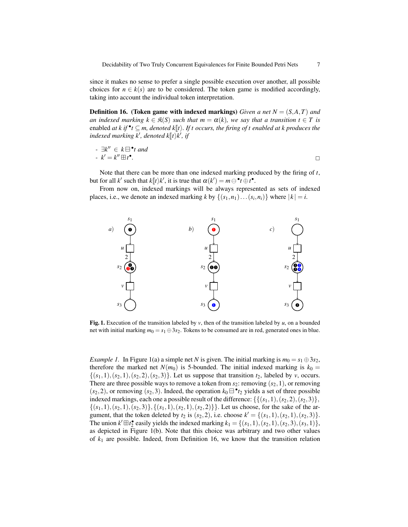since it makes no sense to prefer a single possible execution over another, all possible choices for  $n \in k(s)$  are to be considered. The token game is modified accordingly, taking into account the individual token interpretation.

<span id="page-6-1"></span>Definition 16. (Token game with indexed markings) *Given a net N* = (*S*,*A*,*T*) *and an indexed marking*  $k \in \mathfrak{K}(S)$  *such that*  $m = \alpha(k)$ *, we say that a transition*  $t \in T$  *is* enabled *at k* if  $^{\bullet}t \subseteq m$ , denoted k $\llbracket t \rrbracket$ . If t occurs, the firing of t enabled at k produces the indexed marking  $V$ , denoted  $k \llbracket t \rrbracket$ .  $indexed$  marking  $k'$ , denoted  $k[\![t\rangle\!k',\,ift]$ 

$$
- \exists k'' \in k \boxminus^{\bullet} t \text{ and}
$$
  

$$
- k' = k'' \boxplus t^{\bullet}.
$$

Note that there can be more than one indexed marking produced by the firing of *t*, but for all *k'* such that *k* $[*t*$ )*k'*, it is true that  $α(k') = m ⊕ t ⊕ t$ <sup>■</sup>.<br>From now on indexed merkings will be always represe

From now on, indexed markings will be always represented as sets of indexed places, i.e., we denote an indexed marking *k* by  $\{(s_1, n_1) \dots (s_i, n_i)\}$  where  $|k| = i$ .



<span id="page-6-0"></span>**Fig. 1.** Execution of the transition labeled by  $v$ , then of the transition labeled by  $u$ , on a bounded net with initial marking  $m_0 = s_1 \oplus 3s_2$ . Tokens to be consumed are in red, generated ones in blue.

<span id="page-6-2"></span>*Example 1.* In Figure [1\(](#page-6-0)a) a simple net *N* is given. The initial marking is  $m_0 = s_1 \oplus 3s_2$ , therefore the marked net  $N(m_0)$  is 5-bounded. The initial indexed marking is  $k_0 =$  $\{(s_1,1), (s_2,1), (s_2,2), (s_2,3)\}$ . Let us suppose that transition  $t_2$ , labeled by *v*, occurs. There are three possible ways to remove a token from  $s_2$ : removing  $(s_2,1)$ , or removing  $(s_2, 2)$ , or removing  $(s_2, 3)$ . Indeed, the operation  $k_0 \square$ <sup>•</sup> $t_2$  yields a set of three possible indexed markings, each one a possible result of the difference:  $\{\{(s_1,1), (s_2,2), (s_2,3)\}\,$  $\{(s_1,1), (s_2,1), (s_2,3)\}, \{(s_1,1), (s_2,1), (s_2,2)\}\}.$  Let us choose, for the sake of the argument, that the token deleted by  $t_2$  is  $(s_2, 2)$ , i.e. choose  $k' = \{(s_1, 1), (s_2, 1), (s_2, 3)\}.$ The union  $k' \boxplus t_2^{\bullet}$  easily yields the indexed marking  $k_1 = \{(s_1, 1), (s_2, 1), (s_2, 3), (s_3, 1)\},$ as depicted in Figure [1\(](#page-6-0)b). Note that this choice was arbitrary and two other values of  $k_1$  are possible. Indeed, from Definition [16,](#page-6-1) we know that the transition relation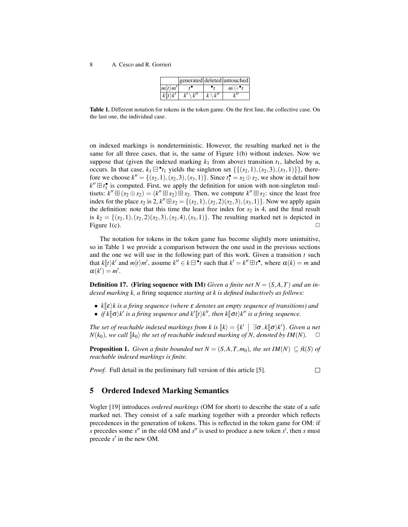|                     |  | generated deleted untouched |
|---------------------|--|-----------------------------|
| $ m(t\rangle m'$    |  | $m \ominus$                 |
| $k\Vert t\rangle k$ |  |                             |

<span id="page-7-1"></span>Table 1. Different notation for tokens in the token game. On the first line, the collective case. On the last one, the individual case.

on indexed markings is nondeterministic. However, the resulting marked net is the same for all three cases, that is, the same of Figure [1\(](#page-6-0)b) without indexes. Now we suppose that (given the indexed marking  $k_1$  from above) transition  $t_1$ , labeled by  $u$ , occurs. In that case,  $k_1 \boxminus \cdot t_1$  yields the singleton set  $\{\{(s_2, 1), (s_2, 3), (s_3, 1)\}\}\,$ , therefore we choose  $k'' = \{(s_2, 1), (s_2, 3), (s_3, 1)\}$ . Since  $t_1^{\bullet} = s_2 \oplus s_2$ , we show in detail how  $k'' \boxplus t_1^{\bullet}$  is computed. First, we apply the definition for union with non-singleton multisets:  $k'' \boxplus (s_2 \oplus s_2) = (k'' \boxplus s_2) \boxplus s_2$ . Then, we compute  $k'' \boxplus s_2$ : since the least free index for the place  $s_2$  is 2,  $k'' \boxplus s_2 = \{(s_2, 1), (s_2, 2)(s_2, 3), (s_3, 1)\}$ . Now we apply again the definition: note that this time the least free index for  $s_2$  is 4, and the final result is  $k_2 = \{(s_2, 1), (s_2, 2)(s_2, 3), (s_2, 4), (s_3, 1)\}\.$  The resulting marked net is depicted in Figure [1\(](#page-6-0)c).  $\Box$ 

The notation for tokens in the token game has become slightly more unintuitive, so in Table [1](#page-7-1) we provide a comparison between the one used in the previous sections and the one we will use in the following part of this work. Given a transition *t* such that  $k[[t]k']$  and  $m[t/m']$ , assume  $k'' \in k \boxminus \{t \}$  such that  $k' = k'' \boxplus t^{\bullet}$ , where  $\alpha(k) = m$  and  $\alpha(k') = m'$  $\alpha(k') = m'.$ 

**Definition 17.** (Firing sequence with IM) *Given a finite net*  $N = (S, A, T)$  *and an indexed marking k, a* firing sequence *starting at k is defined inductively as follows:*

- *<sup>k</sup>*Jεi*k is a firing sequence (where* <sup>ε</sup> *denotes an empty sequence of transitions) and*
- *if*  $k[\sigma \mid k]$  is a firing sequence and  $k'[t \mid k]$ , then  $k[\sigma t \mid k'$  is a firing sequence.

*The set of reachable indexed markings from k is*  $\llbracket k \rrbracket = \{k' \mid \exists \sigma \cdot k \llbracket \sigma \rangle k' \}$ *. Given a net*<br> $N(k_1)$  *we call*  $\llbracket k \rrbracket$  the set of reachable indexed marking of N, danoted by  $\llbracket M(N) \rrbracket$  $N(k_0)$ *, we call*  $\llbracket k_0 \rrbracket$  *the set of reachable indexed marking of N, denoted by IM(N).*  $\Box$ 

<span id="page-7-2"></span>**Proposition 1.** *Given a finite bounded net*  $N = (S, A, T, m_0)$ *, the set*  $IM(N) \subseteq R(S)$  *of reachable indexed markings is finite.*

*Proof.* Full detail in the preliminary full version of this article [\[5\]](#page-14-3).

 $\Box$ 

## <span id="page-7-0"></span>5 Ordered Indexed Marking Semantics

Vogler [\[19\]](#page-14-0) introduces *ordered markings* (OM for short) to describe the state of a safe marked net. They consist of a safe marking together with a preorder which reflects precedences in the generation of tokens. This is reflected in the token game for OM: if *s* precedes some  $s''$  in the old OM and  $s''$  is used to produce a new token  $s'$ , then  $s$  must precede *s'* in the new OM.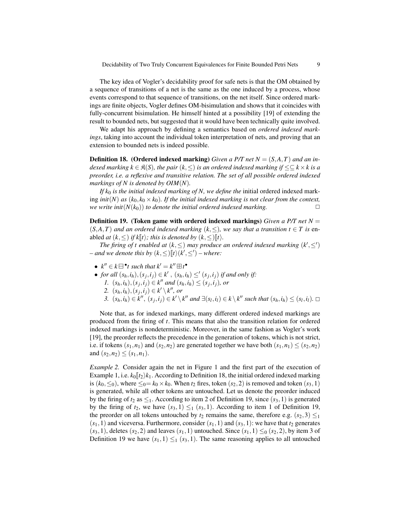The key idea of Vogler's decidability proof for safe nets is that the OM obtained by a sequence of transitions of a net is the same as the one induced by a process, whose events correspond to that sequence of transitions, on the net itself. Since ordered markings are finite objects, Vogler defines OM-bisimulation and shows that it coincides with fully-concurrent bisimulation. He himself hinted at a possibility [\[19\]](#page-14-0) of extending the result to bounded nets, but suggested that it would have been technically quite involved.

We adapt his approach by defining a semantics based on *ordered indexed markings*, taking into account the individual token interpretation of nets, and proving that an extension to bounded nets is indeed possible.

<span id="page-8-0"></span>**Definition 18. (Ordered indexed marking)** Given a P/T net  $N = (S, A, T)$  and an in*dexed marking*  $k \in \mathfrak{K}(S)$ *, the pair*  $(k, ≤)$  *is an ordered indexed marking if*  $≤subseteq k × k$  *is a preorder, i.e. a reflexive and transitive relation. The set of all possible ordered indexed markings of N is denoted by OIM*(*N*)*.*

*If k*<sup>0</sup> *is the initial indexed marking of N, we define the* initial ordered indexed marking *init*(*N*) *as* ( $k_0, k_0 \times k_0$ )*. If the initial indexed marking is not clear from the context, we write init*( $N(k_0)$ ) *to denote the initial ordered indexed marking.*  $\square$ 

<span id="page-8-1"></span>Definition 19. (Token game with ordered indexed markings) *Given a P/T net N* =  $(S, A, T)$  *and an ordered indexed marking*  $(k, \leq)$ *, we say that a transition*  $t \in T$  *is* enabled *at*  $(k, \leq)$  *if*  $k[t\rangle$ *; this is denoted by*  $(k, \leq)$   $[t\rangle$ *.* 

*The firing of t enabled at*  $(k, \leq)$  *may produce an ordered indexed marking*  $(k', \leq')$  $-$  *and we denote this by*  $(k, \leq)$   $\llbracket t \rangle$   $(k', \leq')$   $-$  *where:* 

- $k'' \in k \boxminus$ <sup>•</sup>t such that  $k' = k'' \boxplus t$ <sup>•</sup>
- *for all*  $(s_h, i_h), (s_j, i_j) \in k'$ ,  $(s_h, i_h) \leq s'$  *(s<sub>j</sub>*,*i<sub>j</sub>*) *if and only if:* 
	- *1.*  $(s_h, i_h), (s_j, i_j) \in k''$  and  $(s_h, i_h) \leq (s_j, i_j)$ , or
	- *2.*  $(s_h, i_h), (s_j, i_j) \in k' \setminus k''$ , or
	- 3.  $(s_h, i_h) \in k'', (s_j, i_j) \in k' \setminus k''$  and  $\exists (s_l, i_l) \in k \setminus k''$  such that  $(s_h, i_h) \leq (s_l, i_l)$ .  $\Box$

Note that, as for indexed markings, many different ordered indexed markings are produced from the firing of *t*. This means that also the transition relation for ordered indexed markings is nondeterministic. Moreover, in the same fashion as Vogler's work [\[19\]](#page-14-0), the preorder reflects the precedence in the generation of tokens, which is not strict, i.e. if tokens  $(s_1, n_1)$  and  $(s_2, n_2)$  are generated together we have both  $(s_1, n_1) \leq (s_2, n_2)$ and  $(s_2, n_2) \leq (s_1, n_1)$ .

*Example 2.* Consider again the net in Figure [1](#page-6-0) and the first part of the execution of Example [1,](#page-6-2) i.e.  $k_0$   $\vert t_2 \rangle$ *k*<sub>1</sub>. According to Definition [18,](#page-8-0) the initial ordered indexed marking is  $(k_0, \leq_0)$ , where  $\leq_0 = k_0 \times k_0$ . When  $t_2$  fires, token  $(s_2, 2)$  is removed and token  $(s_3, 1)$ is generated, while all other tokens are untouched. Let us denote the preorder induced by the firing of  $t_2$  as  $\leq_1$ . According to item 2 of Definition [19,](#page-8-1) since  $(s_3,1)$  is generated by the firing of  $t_2$ , we have  $(s_3,1) \leq_1 (s_3,1)$ . According to item 1 of Definition [19,](#page-8-1) the preorder on all tokens untouched by  $t_2$  remains the same, therefore e.g.  $(s_2,3) \leq_1$  $(s_1,1)$  and viceversa. Furthermore, consider  $(s_1,1)$  and  $(s_3,1)$ : we have that  $t_2$  generates  $(s_3,1)$ , deletes  $(s_2,2)$  and leaves  $(s_1,1)$  untouched. Since  $(s_1,1) \leq_0 (s_2,2)$ , by item 3 of Definition [19](#page-8-1) we have  $(s_1,1) \leq_1 (s_3,1)$ . The same reasoning applies to all untouched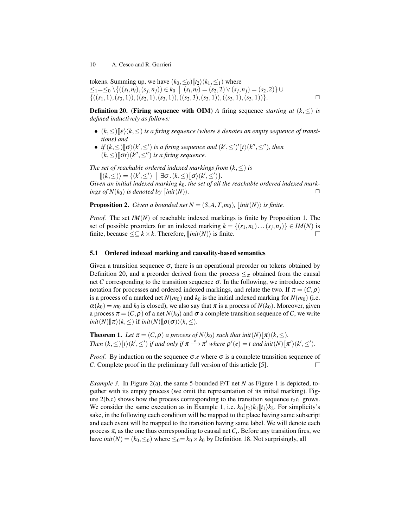tokens. Summing up, we have  $(k_0, \leq_0)[t_2)(k_1, \leq_1)$  where  $\leq$   $\leq$   $\leq$   $\leq$   $\setminus$   $\{(s_i, n_i), (s_j, n_j)\in k_0 \mid (s_i, n_i) = (s_2, 2) \vee (s_j, n_j) = (s_2, 2) \}$  ∪  $\{((s_1,1),(s_3,1)),((s_2,1),(s_3,1)),((s_2,3),(s_3,1)),((s_3,1),(s_3,1))\}.$ 

<span id="page-9-0"></span>**Definition 20.** (Firing sequence with OIM) A firing sequence *starting at*  $(k, \leq)$  *is defined inductively as follows:*

- $(k, \leq)|\epsilon\rangle$  ( $k, \leq$ ) *is a firing sequence (where*  $\epsilon$  *denotes an empty sequence of transitions) and*
- *if*  $(k, \leq)$   $[ \sigma \rangle (k', \leq')$  *is a firing sequence and*  $(k', \leq')'[t \rangle (k'', \leq'')$ *, then*<br> $(k, \leq) \mathbb{F}_{\sigma(k)}(k'', \leq'')$  is a firing sequence  $(k, \leq)$   $\lbrack \sigma t \rangle$  $(k'', \leq'')$  *is a firing sequence.*

*The set of reachable ordered indexed markings from*  $(k, \leq)$  *is* 

 $\mathbb{I}(k,\leq)$  = { $(k',\leq')$  |  $\exists \sigma \cdot (k,\leq) [\sigma \rangle (k',\leq')$ }.<br>so an initial indexed marking  $k_{\sigma}$ , the set of all

Given an initial indexed marking  $k_0$ , the set of all the reachable ordered indexed mark*ings of N*( $k_0$ ) *is denoted by*  $\left[ \text{init}(N) \right)$ .

**Proposition 2.** *Given a bounded net*  $N = (S, A, T, m_0)$ *,*  $\left[ \text{init}(N) \right\rangle$  *is finite.* 

*Proof.* The set *IM*(*N*) of reachable indexed markings is finite by Proposition [1.](#page-7-2) The set of possible preorders for an indexed marking  $k = \{(s_1, n_1) \dots (s_j, n_j)\} \in IM(N)$  is finite, because  $\leq \subseteq k \times k$ . Therefore,  $\left[ \text{init}(N) \right]$  is finite.  $\Box$ 

#### 5.1 Ordered indexed marking and causality-based semantics

Given a transition sequence  $\sigma$ , there is an operational preorder on tokens obtained by Definition [20,](#page-9-0) and a preorder derived from the process  $\leq_{\pi}$  obtained from the causal net *C* corresponding to the transition sequence  $\sigma$ . In the following, we introduce some notation for processes and ordered indexed markings, and relate the two. If  $\pi = (C, \rho)$ is a process of a marked net  $N(m_0)$  and  $k_0$  is the initial indexed marking for  $N(m_0)$  (i.e.  $\alpha(k_0) = m_0$  and  $k_0$  is closed), we also say that  $\pi$  is a process of  $N(k_0)$ . Moreover, given a process  $\pi = (C, \rho)$  of a net  $N(k_0)$  and  $\sigma$  a complete transition sequence of C, we write  $init(N)[\![\pi \rangle (k, \leq)$  *if init* $(N)[\![\rho(\sigma) \rangle (k, \leq)$ .

**Theorem 1.** *Let*  $\pi = (C, \rho)$  *a process of*  $N(k_0)$  *such that init* $(N)$  $\pi \geq (k, \leq)$ *. Then*  $(k, \leq)$  [*t* $)(k', \leq')$  *if and only if*  $\pi \xrightarrow{e} \pi'$  *where*  $\rho'(e) = t$  *and init* $(N)$ [ $\pi'/(k', \leq')$ *.* 

*Proof.* By induction on the sequence  $\sigma$  *e* where  $\sigma$  is a complete transition sequence of *C*. Complete proof in the preliminary full version of this article [\[5\]](#page-14-3).  $\Box$ 

*Example 3.* In Figure [2\(](#page-10-0)a), the same 5-bounded P/T net *N* as Figure [1](#page-6-0) is depicted, together with its empty process (we omit the representation of its initial marking). Figure  $2(b,c)$  shows how the process corresponding to the transition sequence  $t_2 t_1$  grows. We consider the same execution as in Example [1,](#page-6-2) i.e.  $k_0 \llbracket t_2 \rangle k_1 \llbracket t_1 \rangle k_2$ . For simplicity's sake, in the following each condition will be mapped to the place having same subscript and each event will be mapped to the transition having same label. We will denote each process  $\pi$ <sub>*i*</sub> as the one thus corresponding to causal net  $C$ *<sub>i</sub>*. Before any transition fires, we have  $init(N) = (k_0, \leq_0)$  where  $\leq_0 = k_0 \times k_0$  by Definition [18.](#page-8-0) Not surprisingly, all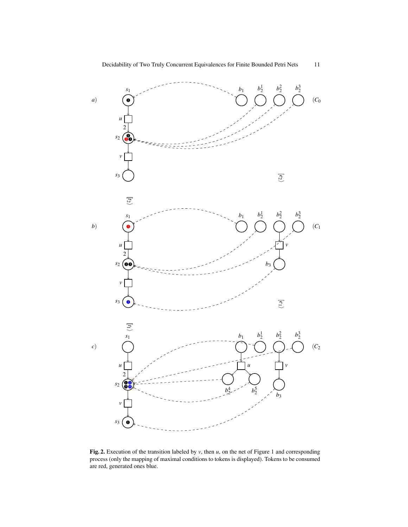

<span id="page-10-0"></span>Fig. 2. Execution of the transition labeled by *v*, then *u*, on the net of Figure [1](#page-6-0) and corresponding process (only the mapping of maximal conditions to tokens is displayed). Tokens to be consumed are red, generated ones blue.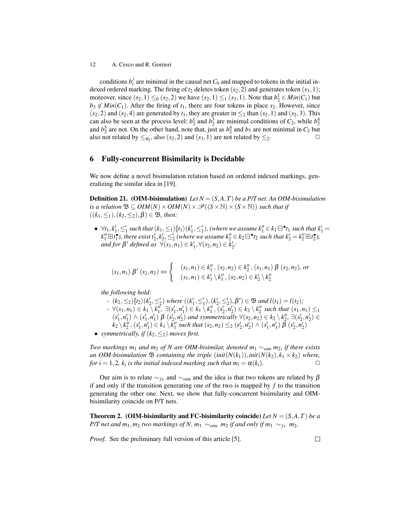conditions  $b_i^j$  are minimal in the causal net  $C_0$  and mapped to tokens in the initial indexed ordered marking. The firing of  $t_2$  deletes token  $(s_2, 2)$  and generates token  $(s_3, 1)$ ; moreover, since  $(s_2, 1) \leq_0 (s_2, 2)$  we have  $(s_2, 1) \leq_1 (s_3, 1)$ . Note that  $b_2^1 \in Min(C_1)$  but  $b_3 \notin Min(C_1)$ . After the firing of  $t_1$ , there are four tokens in place  $s_2$ . However, since  $(s_2, 2)$  and  $(s_2, 4)$  are generated by  $t_1$ , they are greater in  $\leq_2$  than  $(s_2, 1)$  and  $(s_2, 3)$ . This can also be seen at the process level:  $b_2^1$  and  $b_2^3$  are minimal conditions of  $C_2$ , while  $b_2^4$ and  $b_2^5$  are not. On the other hand, note that, just as  $b_2^4$  and  $b_3$  are not minimal in  $C_2$  but also not related by  $\leq_{\pi_2}$ , also  $(s_2, 2)$  and  $(s_3, 1)$  are not related by  $\leq_2$ .

## <span id="page-11-0"></span>6 Fully-concurrent Bisimilarity is Decidable

We now define a novel bisimulation relation based on ordered indexed markings, generalizing the similar idea in [\[19\]](#page-14-0).

<span id="page-11-2"></span>Definition 21. (OIM-bisimulation) *Let N* = (*S*,*A*,*T*) *be a P/T net. An OIM-bisimulation is a relation*  $\mathfrak{B} \subseteq \text{OIM}(N) \times \text{OIM}(N) \times \mathcal{P}((S \times \mathbb{N}) \times (S \times \mathbb{N}))$  *such that if*  $((k_1, \leq_1), (k_2, \leq_2), \beta) \in \mathfrak{B}$ *, then:* 

 $\forall t_1, k'_1, \leq'_1$  such that  $(k_1, \leq_1)[t_1 \rangle (k'_1, \leq'_1)$ , (where we assume  $k''_1 \in k_1 \boxminus^* t_1$  such that  $k'_1 =$ <br> $\nu'' \boxplus \ell^*$ ), there exist  $\ell' \nu' \leq'_1$  (where we assume  $k'' \in k_1 \boxplus^* t_2$ , such that  $k' = k'' \boxplus \ell^*$ )  $k''_1 \boxplus t_1^{\bullet}$ , there exist  $t'_2, k'_2, \leq'_2$  (where we assume  $k''_2 \in k_2 \boxminus^{\bullet} t_2$  such that  $k'_2 = k''_2 \boxplus t_2^{\bullet}$ ),  $\forall$ *defined as*  $\forall$   $(s_1, n_1) \in k'_1, \forall$   $(s_2, n_2) \in k'_2$ .

$$
(s_1, n_1) \beta'(s_2, n_2) \Leftrightarrow \begin{cases} (s_1, n_1) \in k_1'', (s_2, n_2) \in k_2'', (s_1, n_1) \beta(s_2, n_2), \text{ or} \\ (s_1, n_1) \in k_1' \setminus k_1'', (s_2, n_2) \in k_2' \setminus k_2'' \end{cases}
$$

*the following hold:*

 $-$  (*k*<sub>2</sub>, ≤<sub>2</sub>) $[$ *I***<sub>2</sub>)** $[$ *(k***<sub>2</sub>, ≤<sub>2</sub>)</sub>** $[$ *β***)** $[$ *(k<sub>2</sub>, ≤<sub>2</sub>)* $[$ *β***)** $[$ *β* $[$ *β* $[$ *β* $[$ *β* $[$ *β* $[$ *n* $[$ *l***<sub>***l***</sub>** $[$ *n* $[$ *l***<sub>***l***</sub>** $[$ *n* $[$ *l***<sub>***l***</sub>** $[$ *n* $[$ *l***<sub>***l***</sub>** $[$ *n* $[$ *l***<sub>***l***</sub>** $[$ *n* $[$ *l***<sub>***l***</sub>** $[$ *n* $[$ 

 $- \forall (s_1,n_1) \in k_1 \setminus k_1'', \exists (s_1',n_1') \in k_1 \setminus k_1'', (s_2',n_2') \in k_2 \setminus k_2''$  such that  $(s_1,n_1) \leq_1$  $(s'_1, n'_1) \wedge (s'_1, n'_1) \beta (s'_2, n'_2)$  and symmetrically  $\forall (s_2, n_2) \in k_2 \setminus k''_2, \exists (s'_2, n'_2) \in$ 

- $k_2 \setminus k_2^n$ ,  $(s'_1, n'_1) \in k_1 \setminus k_1^n$  such that  $(s_2, n_2) \leq_2 (s'_2, n'_2) \wedge (s'_1, n'_1) \tilde{\beta} (s'_2, n'_2)$
- *symmetrically, if*  $(k_2, \leq_2)$  *moves first.*

*Two markings m*<sup>1</sup> *and m*<sup>2</sup> *of N are OIM-bisimilar, denoted m*<sup>1</sup> ∼*oim m*2*, if there exists an OIM-bisimulation*  $\mathfrak{B}$  *containing the triple* (*init*( $N(k_1)$ ), *init*( $N(k_2)$ ,  $k_1 \times k_2$ ) *where, for*  $i = 1, 2$ ,  $k_i$  *is the initial indexed marking such that*  $m_i = \alpha(k_i)$ .

Our aim is to relate  $\sim_{fc}$  and  $\sim_{oim}$  and the idea is that two tokens are related by  $\beta$ if and only if the transition generating one of the two is mapped by *f* to the transition generating the other one. Next, we show that fully-concurrent bisimilarity and OIMbisimilarity coincide on P/T nets.

<span id="page-11-1"></span>**Theorem 2.** (OIM-bisimilarity and FC-bisimilarity coincide) Let  $N = (S, A, T)$  be a *P*/T net and  $m_1$ *,* $m_2$  *two markings of N.*  $m_1 \sim_{\text{oim}} m_2$  *if and only if*  $m_1 \sim_{\text{fc}} m_2$ *.* 

<span id="page-11-3"></span>*Proof.* See the preliminary full version of this article [\[5\]](#page-14-3).

 $\Box$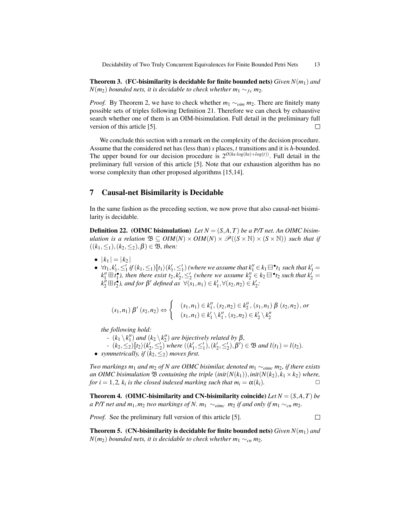Theorem 3. (FC-bisimilarity is decidable for finite bounded nets) *Given N*(*m*1) *and N*( $m_2$ ) *bounded nets, it is decidable to check whether*  $m_1$  ∼  $f_c$   $m_2$ *.* 

*Proof.* By Theorem [2,](#page-11-1) we have to check whether  $m_1 \sim_{\text{oim}} m_2$ . There are finitely many possible sets of triples following Definition [21.](#page-11-2) Therefore we can check by exhaustive search whether one of them is an OIM-bisimulation. Full detail in the preliminary full version of this article [\[5\]](#page-14-3).  $\Box$ 

We conclude this section with a remark on the complexity of the decision procedure. Assume that the considered net has (less than) *s* places, *t* transitions and it is *h*-bounded. The upper bound for our decision procedure is  $2^{O(hs \cdot log(hs) + log(t))}$ . Full detail in the preliminary full version of this article [\[5\]](#page-14-3). Note that our exhaustion algorithm has no worse complexity than other proposed algorithms [\[15,](#page-14-12)[14\]](#page-14-13).

## <span id="page-12-0"></span>7 Causal-net Bisimilarity is Decidable

In the same fashion as the preceding section, we now prove that also causal-net bisimilarity is decidable.

**Definition 22.** (OIMC bisimulation) Let  $N = (S, A, T)$  be a P/T net. An OIMC bisim*ulation is a relation*  $\mathfrak{B} \subseteq \mathit{OIM}(N) \times \mathit{OIM}(N) \times \mathcal{P}((S \times N) \times (S \times N))$  such that if  $((k_1, \leq_1), (k_2, \leq_2), \beta) \in \mathfrak{B}$ *, then:* 

- $|k_1| = |k_2|$
- $\forall t_1, k'_1, \leq'_1$  *if*  $(k_1, \leq'_1)[t_1\rangle(k'_1, \leq'_1)$  (where we assume that  $k''_1 \in k_1 \boxminus$  **\*1** such that  $k'_1 =$ <br>*t<sup>u</sup>*  $\Box$  **\*** ), then there exist t,  $k' \leq'$  (where we assume  $k'' \in k_1 \boxminus$  **\*** , such that  $k' =$  $k''_1 \boxplus i^{\bullet}_1$ ), then there exist  $t_2, k'_2, \leq'_2$  (where we assume  $k''_2 \in k_2 \boxminus "t_2$  such that  $k'_2 =$  $k_2^b \boxplus t_2^b$ , and for  $\beta'$  defined as  $\forall (\tilde{s}_1, n_1) \in k_1', \forall (s_2, n_2) \in k_2'$ .

$$
(s_1, n_1) \beta'(s_2, n_2) \Leftrightarrow \begin{cases} (s_1, n_1) \in k_1'', (s_2, n_2) \in k_2'', (s_1, n_1) \beta(s_2, n_2), \text{ or} \\ (s_1, n_1) \in k_1' \setminus k_1'', (s_2, n_2) \in k_2' \setminus k_2'' \end{cases}
$$

*the following hold:*

- *-*  $(k_1 \setminus k_1'')$  *and*  $(k_2 \setminus k_2'')$  *are bijectively related by*  $\beta$ *,*
- $-(k_2, ≤_2)[\![t_2\rangle(k_2, ≤'_2)\!]$  where  $((k'_1, ≤'_1), (k'_2, ≤'_2), β') \in \mathfrak{B}$  and  $l(t_1) = l(t_2)$ *.*<br>mynatrically if  $(k_2, ≤_2)$  moves first
- *symmetrically, if*  $(k_2, \leq_2)$  *moves first.*

*Two markings m*<sup>1</sup> *and m*<sup>2</sup> *of N are OIMC bisimilar, denoted m*<sup>1</sup> ∼*oimc m*2*, if there exists an OIMC bisimulation*  $\mathfrak{B}$  *containing the triple* (*init*( $N(k_1)$ ), *init*( $N(k_2)$ ,  $k_1 \times k_2$ ) *where, for*  $i = 1, 2$ ,  $k_i$  *is the closed indexed marking such that*  $m_i = \alpha(k_i)$ .

<span id="page-12-1"></span>**Theorem 4. (OIMC-bisimilarity and CN-bisimilarity coincide)** Let  $N = (S, A, T)$  be *a P*/T net and  $m_1, m_2$  *two markings of N.*  $m_1 ∼_{oimc} m_2$  *if and only if*  $m_1 ∼_{cn} m_2$ *.* 

*Proof.* See the preliminary full version of this article [\[5\]](#page-14-3).

 $\Box$ 

**Theorem 5.** (CN-bisimilarity is decidable for finite bounded nets) *Given*  $N(m_1)$  and *N*( $m_2$ ) *bounded nets, it is decidable to check whether*  $m_1$  ∼*<sub>cn</sub>*  $m_2$ *.*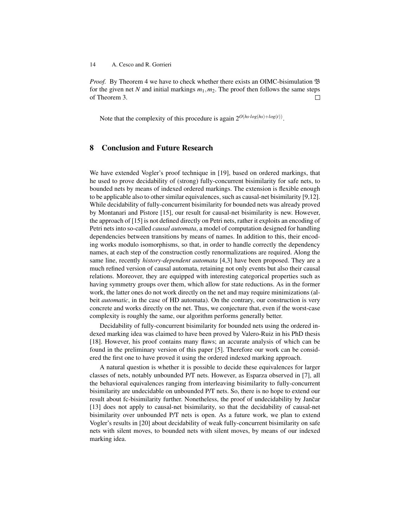*Proof.* By Theorem [4](#page-12-1) we have to check whether there exists an OIMC-bisimulation  $\mathfrak{B}$ for the given net *N* and initial markings  $m_1, m_2$ . The proof then follows the same steps of Theorem [3.](#page-11-3)  $\Box$ 

Note that the complexity of this procedure is again  $2^{O(hs \cdot log(hs) + log(t))}$ .

## <span id="page-13-0"></span>8 Conclusion and Future Research

We have extended Vogler's proof technique in [\[19\]](#page-14-0), based on ordered markings, that he used to prove decidability of (strong) fully-concurrent bisimilarity for safe nets, to bounded nets by means of indexed ordered markings. The extension is flexible enough to be applicable also to other similar equivalences, such as causal-net bisimilarity [\[9](#page-14-2)[,12\]](#page-14-1). While decidability of fully-concurrent bisimilarity for bounded nets was already proved by Montanari and Pistore [\[15\]](#page-14-12), our result for causal-net bisimilarity is new. However, the approach of [\[15\]](#page-14-12) is not defined directly on Petri nets, rather it exploits an encoding of Petri nets into so-called *causal automata*, a model of computation designed for handling dependencies between transitions by means of names. In addition to this, their encoding works modulo isomorphisms, so that, in order to handle correctly the dependency names, at each step of the construction costly renormalizations are required. Along the same line, recently *history-dependent automata* [\[4,](#page-14-14)[3\]](#page-14-15) have been proposed. They are a much refined version of causal automata, retaining not only events but also their causal relations. Moreover, they are equipped with interesting categorical properties such as having symmetry groups over them, which allow for state reductions. As in the former work, the latter ones do not work directly on the net and may require minimizations (albeit *automatic*, in the case of HD automata). On the contrary, our construction is very concrete and works directly on the net. Thus, we conjecture that, even if the worst-case complexity is roughly the same, our algorithm performs generally better.

Decidability of fully-concurrent bisimilarity for bounded nets using the ordered indexed marking idea was claimed to have been proved by Valero-Ruiz in his PhD thesis [\[18\]](#page-14-16). However, his proof contains many flaws; an accurate analysis of which can be found in the preliminary version of this paper [\[5\]](#page-14-3). Therefore our work can be considered the first one to have proved it using the ordered indexed marking approach.

A natural question is whether it is possible to decide these equivalences for larger classes of nets, notably unbounded P/T nets. However, as Esparza observed in [\[7\]](#page-14-17), all the behavioral equivalences ranging from interleaving bisimilarity to fully-concurrent bisimilarity are undecidable on unbounded P/T nets. So, there is no hope to extend our result about fc-bisimilarity further. Nonetheless, the proof of undecidability by Jančar [\[13\]](#page-14-18) does not apply to causal-net bisimilarity, so that the decidability of causal-net bisimilarity over unbounded P/T nets is open. As a future work, we plan to extend Vogler's results in [\[20\]](#page-14-19) about decidability of weak fully-concurrent bisimilarity on safe nets with silent moves, to bounded nets with silent moves, by means of our indexed marking idea.